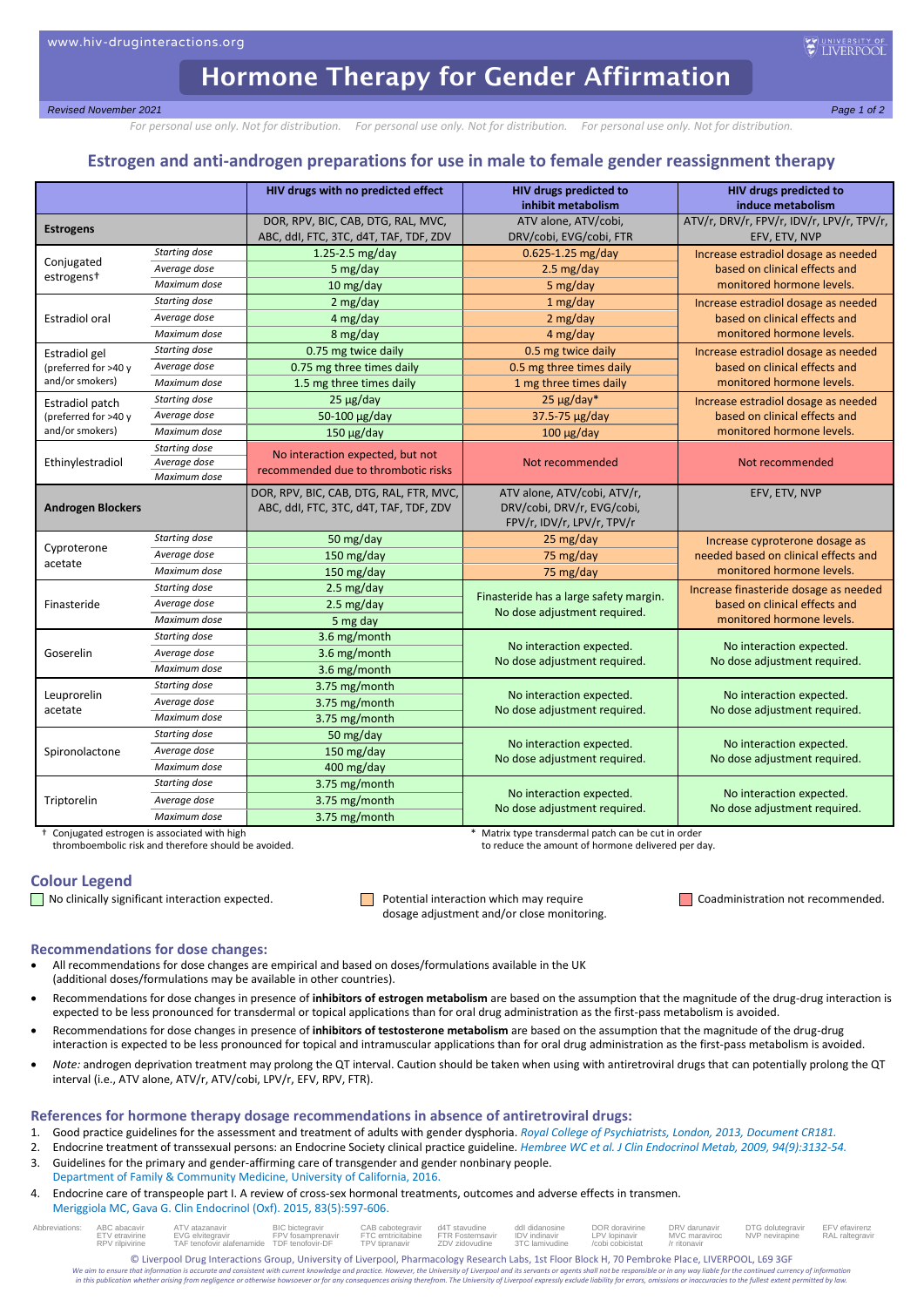# Hormone Therapy for Gender Affirmation

*Revised November 2021 Page 1 of 2*

*For personal use only. Not for distribution. For personal use only. Not for distribution. For personal use only. Not for distribution.*

## **Estrogen and anti-androgen preparations for use in male to female gender reassignment therapy**

|                          |                               | HIV drugs with no predicted effect      | HIV drugs predicted to                 | HIV drugs predicted to                                               |  |  |
|--------------------------|-------------------------------|-----------------------------------------|----------------------------------------|----------------------------------------------------------------------|--|--|
|                          |                               |                                         | inhibit metabolism                     | induce metabolism                                                    |  |  |
| <b>Estrogens</b>         |                               | DOR, RPV, BIC, CAB, DTG, RAL, MVC,      | ATV alone, ATV/cobi,                   | ATV/r, DRV/r, FPV/r, IDV/r, LPV/r, TPV/r,                            |  |  |
|                          |                               | ABC, ddl, FTC, 3TC, d4T, TAF, TDF, ZDV  | DRV/cobi, EVG/cobi, FTR                | EFV, ETV, NVP                                                        |  |  |
| Conjugated               | Starting dose                 | $1.25 - 2.5$ mg/day                     | 0.625-1.25 mg/day                      | Increase estradiol dosage as needed<br>based on clinical effects and |  |  |
| estrogens <sup>+</sup>   | Average dose                  | 5 mg/day                                | $2.5 \text{ mg/day}$                   |                                                                      |  |  |
|                          | Maximum dose                  | 10 mg/day                               | 5 mg/day                               | monitored hormone levels.                                            |  |  |
|                          | Starting dose                 | 2 mg/day                                | 1 mg/day                               | Increase estradiol dosage as needed                                  |  |  |
| <b>Estradiol oral</b>    | Average dose                  | 4 mg/day                                | 2 mg/day                               | based on clinical effects and                                        |  |  |
|                          | Maximum dose                  | 8 mg/day                                | 4 mg/day                               | monitored hormone levels.                                            |  |  |
| <b>Estradiol gel</b>     | Starting dose                 | 0.75 mg twice daily                     | 0.5 mg twice daily                     | Increase estradiol dosage as needed                                  |  |  |
| (preferred for >40 y     | Average dose                  | 0.75 mg three times daily               | 0.5 mg three times daily               | based on clinical effects and                                        |  |  |
| and/or smokers)          | Maximum dose                  | 1.5 mg three times daily                | 1 mg three times daily                 | monitored hormone levels.                                            |  |  |
| Estradiol patch          | Starting dose                 | $25 \mu g/day$                          | $25 \mu g/day*$                        | Increase estradiol dosage as needed                                  |  |  |
| (preferred for >40 y     | Average dose                  | 50-100 µg/day                           | 37.5-75 µg/day                         | based on clinical effects and                                        |  |  |
| and/or smokers)          | Maximum dose                  | $150 \mu g/day$                         | $100 \mu g/day$                        | monitored hormone levels.                                            |  |  |
|                          | Starting dose                 | No interaction expected, but not        | Not recommended                        |                                                                      |  |  |
| Ethinylestradiol         | Average dose                  | recommended due to thrombotic risks     |                                        | Not recommended                                                      |  |  |
| Maximum dose             |                               |                                         |                                        |                                                                      |  |  |
| <b>Androgen Blockers</b> |                               | DOR, RPV, BIC, CAB, DTG, RAL, FTR, MVC, | ATV alone, ATV/cobi, ATV/r,            | EFV, ETV, NVP                                                        |  |  |
|                          |                               | ABC, ddl, FTC, 3TC, d4T, TAF, TDF, ZDV  | DRV/cobi, DRV/r, EVG/cobi,             |                                                                      |  |  |
|                          |                               |                                         | FPV/r, IDV/r, LPV/r, TPV/r             |                                                                      |  |  |
| Cyproterone              | Starting dose<br>Average dose | 50 mg/day                               | 25 mg/day                              | Increase cyproterone dosage as                                       |  |  |
| acetate                  | Maximum dose                  | 150 mg/day                              | 75 mg/day                              | needed based on clinical effects and<br>monitored hormone levels.    |  |  |
|                          |                               | 150 mg/day                              | 75 mg/day                              |                                                                      |  |  |
|                          | Starting dose                 | $2.5 \text{ mg/day}$                    | Finasteride has a large safety margin. | Increase finasteride dosage as needed                                |  |  |
| Finasteride              | Average dose                  | $2.5 \text{ mg/day}$                    | No dose adjustment required.           | based on clinical effects and                                        |  |  |
|                          | Maximum dose                  | 5 mg day                                |                                        | monitored hormone levels.                                            |  |  |
|                          | Starting dose                 | 3.6 mg/month                            | No interaction expected.               | No interaction expected.                                             |  |  |
| Goserelin                | Average dose                  | 3.6 mg/month                            | No dose adjustment required.           | No dose adjustment required.                                         |  |  |
|                          | Maximum dose                  | 3.6 mg/month                            |                                        |                                                                      |  |  |
| Leuprorelin<br>acetate   | Starting dose                 | 3.75 mg/month                           | No interaction expected.               | No interaction expected.                                             |  |  |
|                          | Average dose                  | 3.75 mg/month                           | No dose adjustment required.           | No dose adjustment required.                                         |  |  |
|                          | Maximum dose                  | 3.75 mg/month                           |                                        |                                                                      |  |  |
| Spironolactone           | Starting dose                 | 50 mg/day                               | No interaction expected.               | No interaction expected.                                             |  |  |
|                          | Average dose                  | 150 mg/day                              | No dose adjustment required.           | No dose adjustment required.                                         |  |  |
|                          | Maximum dose                  | 400 mg/day                              |                                        |                                                                      |  |  |
|                          | Starting dose                 | 3.75 mg/month                           | No interaction expected.               | No interaction expected.                                             |  |  |
| Triptorelin              | Average dose                  | 3.75 mg/month                           | No dose adjustment required.           | No dose adjustment required.                                         |  |  |
|                          | Maximum dose                  | 3.75 mg/month                           |                                        |                                                                      |  |  |

thromboembolic risk and therefore should be avoided.

† Conjugated estrogen is associated with high \* Matrix type transdermal patch can be cut in order

## **Colour Legend**

No clinically significant interaction expected. Potential interaction which may require Coadministration not recommended. dosage adjustment and/or close monitoring.

### **Recommendations for dose changes:**

- All recommendations for dose changes are empirical and based on doses/formulations available in the UK (additional doses/formulations may be available in other countries).
- Recommendations for dose changes in presence of **inhibitors of estrogen metabolism** are based on the assumption that the magnitude of the drug-drug interaction is expected to be less pronounced for transdermal or topical applications than for oral drug administration as the first-pass metabolism is avoided.
- Recommendations for dose changes in presence of **inhibitors of testosterone metabolism** are based on the assumption that the magnitude of the drug-drug interaction is expected to be less pronounced for topical and intramuscular applications than for oral drug administration as the first-pass metabolism is avoided.
- *Note:* androgen deprivation treatment may prolong the QT interval. Caution should be taken when using with antiretroviral drugs that can potentially prolong the QT interval (i.e., ATV alone, ATV/r, ATV/cobi, LPV/r, EFV, RPV, FTR).

## **References for hormone therapy dosage recommendations in absence of antiretroviral drugs:**

1. Good practice guidelines for the assessment and treatment of adults with gender dysphoria. *[Royal College of Psychiatrists, London, 2013, Document CR181.](https://www.rcpsych.ac.uk/docs/default-source/improving-care/better-mh-policy/college-reports/cr181-good-practice-guidelines-for-the-assessment-and-treatment-of-adults-with-gender-dysphoria.pdf)*

- 2. Endocrine treatment of transsexual persons: an Endocrine Society clinical practice guideline. *[Hembree WC et al. J Clin Endocrinol Metab, 2009, 94\(9\):3132-54.](https://www.ncbi.nlm.nih.gov/pubmed/19509099)*
- 3. Guidelines for the primary and gender-affirming care of transgender and gender nonbinary people. [Department of Family & Community Medicine, University of California, 2016.](https://transcare.ucsf.edu/sites/transcare.ucsf.edu/files/Transgender-PGACG-6-17-16.pdf)
- 4. Endocrine care of transpeople part I. A review of cross-sex hormonal treatments, outcomes and adverse effects in transmen.
	- [Meriggiola MC, Gava G. Clin Endocrinol \(Oxf\). 2015, 83\(5\):597-606.](https://www.ncbi.nlm.nih.gov/pubmed/25692791)

| Abbreviations: ABC abacavir ATV atazanavir | ETV etravirine  EVG elvitegravir<br>RPV rilpivirine TAF tenofovir alafenamide TDF tenofovir-DF TPV tipranavir ZDV zidovudine 3TC lamivudine /cobi cobicistat /r ritonavir | BIC bictegravir CAB cabotegravir d4T stavudine ddl didanosine DOR doravirine DRV darunavir DTG dolutegravir EFV efavirenz<br>FPV fosamprenavir FTC emtricitabine FTR Fostemsavir IDV indinavir LPV Iopinavir MVC maraviroc NVP nevirapine RAL raltegravir |  |  |  |  |
|--------------------------------------------|---------------------------------------------------------------------------------------------------------------------------------------------------------------------------|-----------------------------------------------------------------------------------------------------------------------------------------------------------------------------------------------------------------------------------------------------------|--|--|--|--|
|                                            |                                                                                                                                                                           |                                                                                                                                                                                                                                                           |  |  |  |  |

© Liverpool Drug Interactions Group, University of Liverpool, Pharmacology Research Labs, 1st Floor Block H, 70 Pembroke Place, LIVERPOOL, L69 3GF<br>We gim to ensure that information is accurate and consistent with current k

We aim to ensure that information is accurate and consistent with current knowledge and practice. However, the University of Liverpool and its servants or agents shall not be responsible or in any way liable for the contin